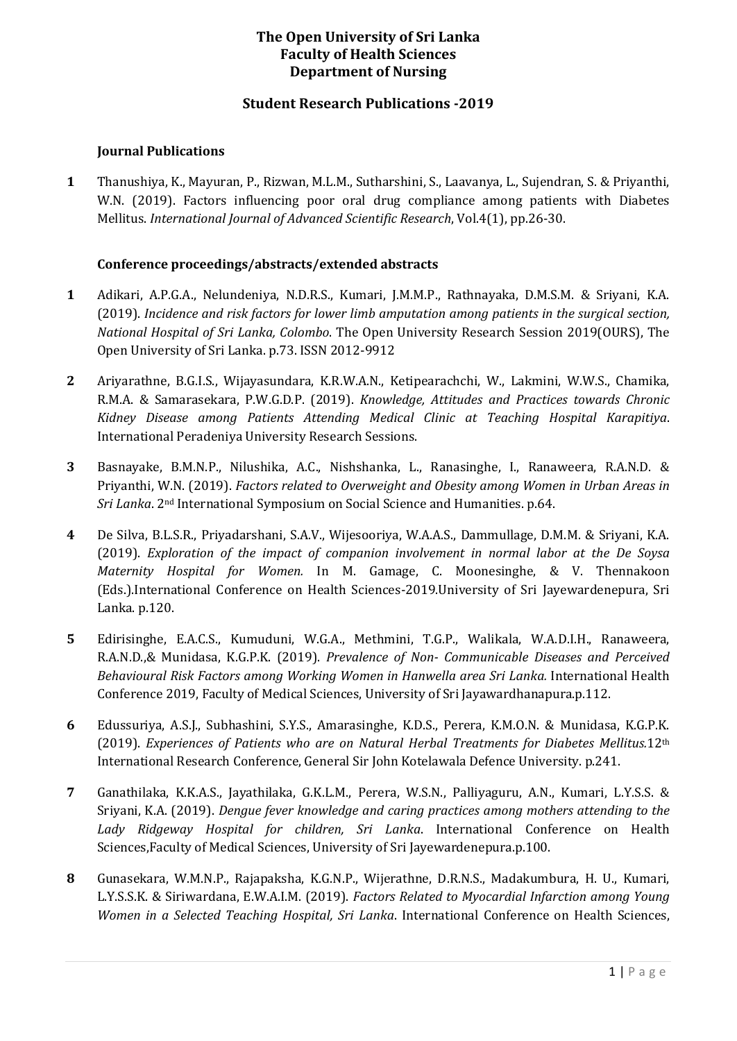# **The Open University of Sri Lanka Faculty of Health Sciences Department of Nursing**

## **Student Research Publications -2019**

#### **Journal Publications**

**1** Thanushiya, K., Mayuran, P., Rizwan, M.L.M., Sutharshini, S., Laavanya, L., Sujendran, S. & Priyanthi, W.N. (2019). Factors influencing poor oral drug compliance among patients with Diabetes Mellitus. *International Journal of Advanced Scientific Research*, Vol.4(1), pp.26-30.

### **Conference proceedings/abstracts/extended abstracts**

- **1** Adikari, A.P.G.A., Nelundeniya, N.D.R.S., Kumari, J.M.M.P., Rathnayaka, D.M.S.M. & Sriyani, K.A. (2019). *Incidence and risk factors for lower limb amputation among patients in the surgical section, National Hospital of Sri Lanka, Colombo*. The Open University Research Session 2019(OURS), The Open University of Sri Lanka. p.73. ISSN 2012-9912
- **2** Ariyarathne, B.G.I.S., Wijayasundara, K.R.W.A.N., Ketipearachchi, W., Lakmini, W.W.S., Chamika, R.M.A. & Samarasekara, P.W.G.D.P. (2019). *Knowledge, Attitudes and Practices towards Chronic Kidney Disease among Patients Attending Medical Clinic at Teaching Hospital Karapitiya*. International Peradeniya University Research Sessions.
- **3** Basnayake, B.M.N.P., Nilushika, A.C., Nishshanka, L., Ranasinghe, I., Ranaweera, R.A.N.D. & Priyanthi, W.N. (2019). *Factors related to Overweight and Obesity among Women in Urban Areas in Sri Lanka*. 2nd International Symposium on Social Science and Humanities. p.64.
- **4** De Silva, B.L.S.R., Priyadarshani, S.A.V., Wijesooriya, W.A.A.S., Dammullage, D.M.M. & Sriyani, K.A. (2019). *Exploration of the impact of companion involvement in normal labor at the De Soysa Maternity Hospital for Women.* In M. Gamage, C. Moonesinghe, & V. Thennakoon (Eds.).International Conference on Health Sciences-2019.University of Sri Jayewardenepura, Sri Lanka. p.120.
- **5** Edirisinghe, E.A.C.S., Kumuduni, W.G.A., Methmini, T.G.P., Walikala, W.A.D.I.H., Ranaweera, R.A.N.D.,& Munidasa, K.G.P.K. (2019). *Prevalence of Non- Communicable Diseases and Perceived Behavioural Risk Factors among Working Women in Hanwella area Sri Lanka.* International Health Conference 2019, Faculty of Medical Sciences, University of Sri Jayawardhanapura.p.112.
- **6** Edussuriya, A.S.J., Subhashini, S.Y.S., Amarasinghe, K.D.S., Perera, K.M.O.N. & Munidasa, K.G.P.K. (2019). *Experiences of Patients who are on Natural Herbal Treatments for Diabetes Mellitus.*12th International Research Conference, General Sir John Kotelawala Defence University. p.241.
- **7** Ganathilaka, K.K.A.S., Jayathilaka, G.K.L.M., Perera, W.S.N., Palliyaguru, A.N., Kumari, L.Y.S.S. & Sriyani, K.A. (2019). *Dengue fever knowledge and caring practices among mothers attending to the Lady Ridgeway Hospital for children, Sri Lanka*. International Conference on Health Sciences,Faculty of Medical Sciences, University of Sri Jayewardenepura.p.100.
- **8** Gunasekara, W.M.N.P., Rajapaksha, K.G.N.P., Wijerathne, D.R.N.S., Madakumbura, H. U., Kumari, L.Y.S.S.K. & Siriwardana, E.W.A.I.M. (2019). *Factors Related to Myocardial Infarction among Young Women in a Selected Teaching Hospital, Sri Lanka*. International Conference on Health Sciences,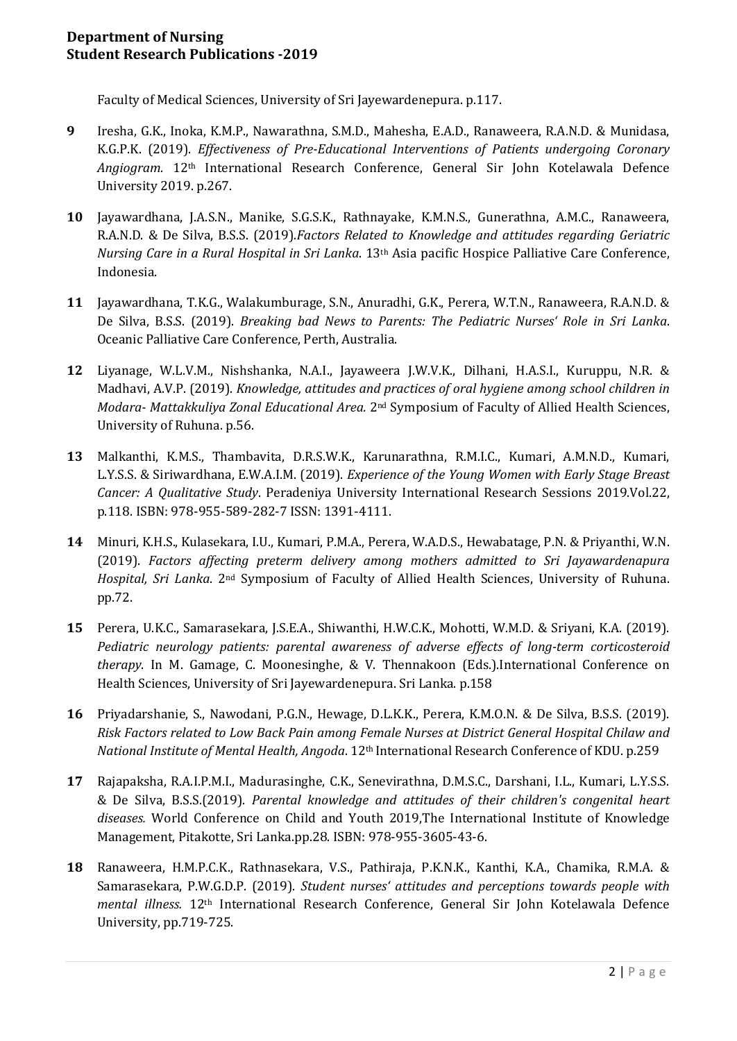Faculty of Medical Sciences, University of Sri Jayewardenepura. p.117.

- **9** Iresha, G.K., Inoka, K.M.P., Nawarathna, S.M.D., Mahesha, E.A.D., Ranaweera, R.A.N.D. & Munidasa, K.G.P.K. (2019). *Effectiveness of Pre-Educational Interventions of Patients undergoing Coronary Angiogram.* 12th International Research Conference, General Sir John Kotelawala Defence University 2019. p.267.
- **10** Jayawardhana, J.A.S.N., Manike, S.G.S.K., Rathnayake, K.M.N.S., Gunerathna, A.M.C., Ranaweera, R.A.N.D. & De Silva, B.S.S. (2019).*Factors Related to Knowledge and attitudes regarding Geriatric Nursing Care in a Rural Hospital in Sri Lanka*. 13th Asia pacific Hospice Palliative Care Conference, Indonesia.
- **11** Jayawardhana, T.K.G., Walakumburage, S.N., Anuradhi, G.K., Perera, W.T.N., Ranaweera, R.A.N.D. & De Silva, B.S.S. (2019). *Breaking bad News to Parents: The Pediatric Nurses' Role in Sri Lanka*. Oceanic Palliative Care Conference, Perth, Australia.
- **12** Liyanage, W.L.V.M., Nishshanka, N.A.I., Jayaweera J.W.V.K., Dilhani, H.A.S.I., Kuruppu, N.R. & Madhavi, A.V.P. (2019). *Knowledge, attitudes and practices of oral hygiene among school children in Modara- Mattakkuliya Zonal Educational Area.* 2nd Symposium of Faculty of Allied Health Sciences, University of Ruhuna. p.56.
- **13** Malkanthi, K.M.S., Thambavita, D.R.S.W.K., Karunarathna, R.M.I.C., Kumari, A.M.N.D., Kumari, L.Y.S.S. & Siriwardhana, E.W.A.I.M. (2019). *Experience of the Young Women with Early Stage Breast Cancer: A Qualitative Study*. Peradeniya University International Research Sessions 2019.Vol.22, p.118. ISBN: 978-955-589-282-7 ISSN: 1391-4111.
- **14** Minuri, K.H.S., Kulasekara, I.U., Kumari, P.M.A., Perera, W.A.D.S., Hewabatage, P.N. & Priyanthi, W.N. (2019). *Factors affecting preterm delivery among mothers admitted to Sri Jayawardenapura Hospital, Sri Lanka*. 2nd Symposium of Faculty of Allied Health Sciences, University of Ruhuna. pp.72.
- **15** Perera, U.K.C., Samarasekara, J.S.E.A., Shiwanthi, H.W.C.K., Mohotti, W.M.D. & Sriyani, K.A. (2019). *Pediatric neurology patients: parental awareness of adverse effects of long-term corticosteroid therapy*. In M. Gamage, C. Moonesinghe, & V. Thennakoon (Eds.).International Conference on Health Sciences, University of Sri Jayewardenepura. Sri Lanka. p.158
- **16** Priyadarshanie, S., Nawodani, P.G.N., Hewage, D.L.K.K., Perera, K.M.O.N. & De Silva, B.S.S. (2019). *Risk Factors related to Low Back Pain among Female Nurses at District General Hospital Chilaw and National Institute of Mental Health, Angoda*. 12th International Research Conference of KDU. p.259
- **17** Rajapaksha, R.A.I.P.M.I., Madurasinghe, C.K., Senevirathna, D.M.S.C., Darshani, I.L., Kumari, L.Y.S.S. & De Silva, B.S.S.(2019). *Parental knowledge and attitudes of their children's congenital heart diseases.* World Conference on Child and Youth 2019,The International Institute of Knowledge Management, Pitakotte, Sri Lanka.pp.28. ISBN: 978-955-3605-43-6.
- **18** Ranaweera, H.M.P.C.K., Rathnasekara, V.S., Pathiraja, P.K.N.K., Kanthi, K.A., Chamika, R.M.A. & Samarasekara, P.W.G.D.P. (2019). *Student nurses' attitudes and perceptions towards people with mental illness.* 12th International Research Conference, General Sir John Kotelawala Defence University, pp.719-725.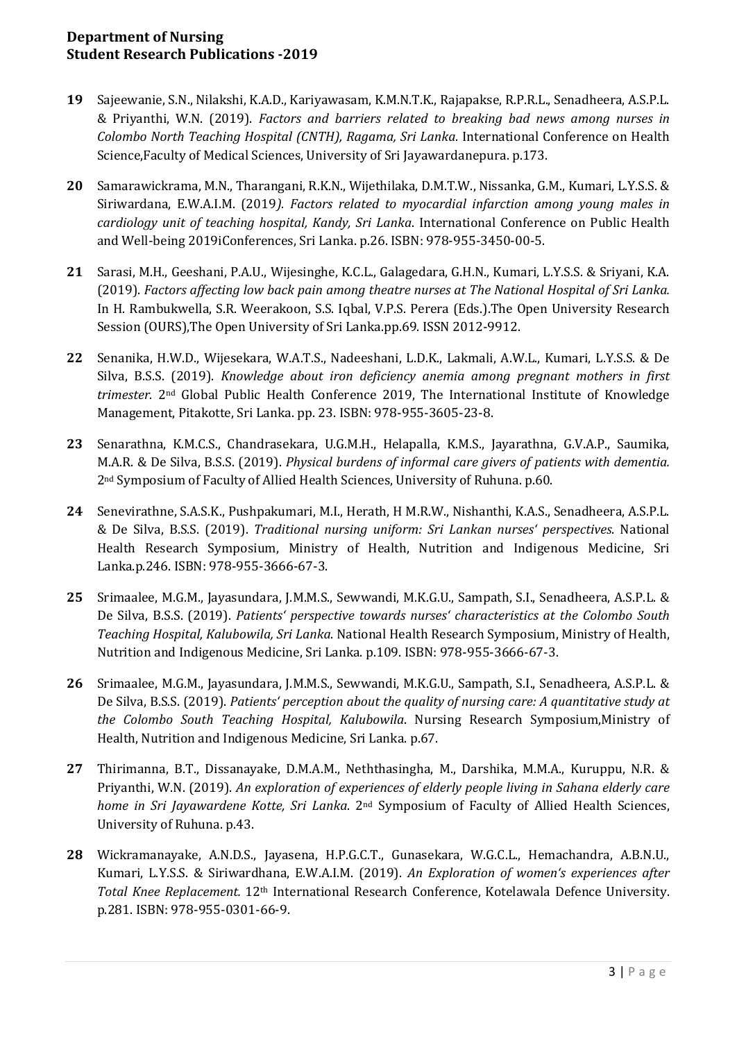## **Department of Nursing Student Research Publications -2019**

- **19** Sajeewanie, S.N., Nilakshi, K.A.D., Kariyawasam, K.M.N.T.K., Rajapakse, R.P.R.L., Senadheera, A.S.P.L. & Priyanthi, W.N. (2019). *Factors and barriers related to breaking bad news among nurses in Colombo North Teaching Hospital (CNTH), Ragama, Sri Lanka*. International Conference on Health Science,Faculty of Medical Sciences, University of Sri Jayawardanepura. p.173.
- **20** Samarawickrama, M.N., Tharangani, R.K.N., Wijethilaka, D.M.T.W., Nissanka, G.M., Kumari, L.Y.S.S. & Siriwardana, E.W.A.I.M. (2019*). Factors related to myocardial infarction among young males in cardiology unit of teaching hospital, Kandy, Sri Lanka*. International Conference on Public Health and Well-being 2019iConferences, Sri Lanka. p.26. ISBN: 978-955-3450-00-5.
- **21** Sarasi, M.H., Geeshani, P.A.U., Wijesinghe, K.C.L., Galagedara, G.H.N., Kumari, L.Y.S.S. & Sriyani, K.A. (2019). *Factors affecting low back pain among theatre nurses at The National Hospital of Sri Lanka.* In H. Rambukwella, S.R. Weerakoon, S.S. Iqbal, V.P.S. Perera (Eds.).The Open University Research Session (OURS),The Open University of Sri Lanka.pp.69. ISSN 2012-9912.
- **22** Senanika, H.W.D., Wijesekara, W.A.T.S., Nadeeshani, L.D.K., Lakmali, A.W.L., Kumari, L.Y.S.S. & De Silva, B.S.S. (2019). *Knowledge about iron deficiency anemia among pregnant mothers in first trimester.* 2nd Global Public Health Conference 2019, The International Institute of Knowledge Management, Pitakotte, Sri Lanka. pp. 23. ISBN: 978-955-3605-23-8.
- **23** Senarathna, K.M.C.S., Chandrasekara, U.G.M.H., Helapalla, K.M.S., Jayarathna, G.V.A.P., Saumika, M.A.R. & De Silva, B.S.S. (2019). *Physical burdens of informal care givers of patients with dementia.* 2nd Symposium of Faculty of Allied Health Sciences, University of Ruhuna. p.60.
- **24** Senevirathne, S.A.S.K., Pushpakumari, M.I., Herath, H M.R.W., Nishanthi, K.A.S., Senadheera, A.S.P.L. & De Silva, B.S.S. (2019). *Traditional nursing uniform: Sri Lankan nurses' perspectives*. National Health Research Symposium, Ministry of Health, Nutrition and Indigenous Medicine, Sri Lanka.p.246. ISBN: 978-955-3666-67-3.
- **25** Srimaalee, M.G.M., Jayasundara, J.M.M.S., Sewwandi, M.K.G.U., Sampath, S.I., Senadheera, A.S.P.L. & De Silva, B.S.S. (2019). *Patients' perspective towards nurses' characteristics at the Colombo South Teaching Hospital, Kalubowila, Sri Lanka*. National Health Research Symposium, Ministry of Health, Nutrition and Indigenous Medicine, Sri Lanka. p.109. ISBN: 978-955-3666-67-3.
- **26** Srimaalee, M.G.M., Jayasundara, J.M.M.S., Sewwandi, M.K.G.U., Sampath, S.I., Senadheera, A.S.P.L. & De Silva, B.S.S. (2019). *Patients' perception about the quality of nursing care: A quantitative study at the Colombo South Teaching Hospital, Kalubowila*. Nursing Research Symposium,Ministry of Health, Nutrition and Indigenous Medicine, Sri Lanka. p.67.
- **27** Thirimanna, B.T., Dissanayake, D.M.A.M., Neththasingha, M., Darshika, M.M.A., Kuruppu, N.R. & Priyanthi, W.N. (2019). *An exploration of experiences of elderly people living in Sahana elderly care home in Sri Jayawardene Kotte, Sri Lanka*. 2nd Symposium of Faculty of Allied Health Sciences, University of Ruhuna. p.43.
- **28** Wickramanayake, A.N.D.S., Jayasena, H.P.G.C.T., Gunasekara, W.G.C.L., Hemachandra, A.B.N.U., Kumari, L.Y.S.S. & Siriwardhana, E.W.A.I.M. (2019). *An Exploration of women's experiences after Total Knee Replacement.* 12th International Research Conference, Kotelawala Defence University. p.281. ISBN: 978-955-0301-66-9.